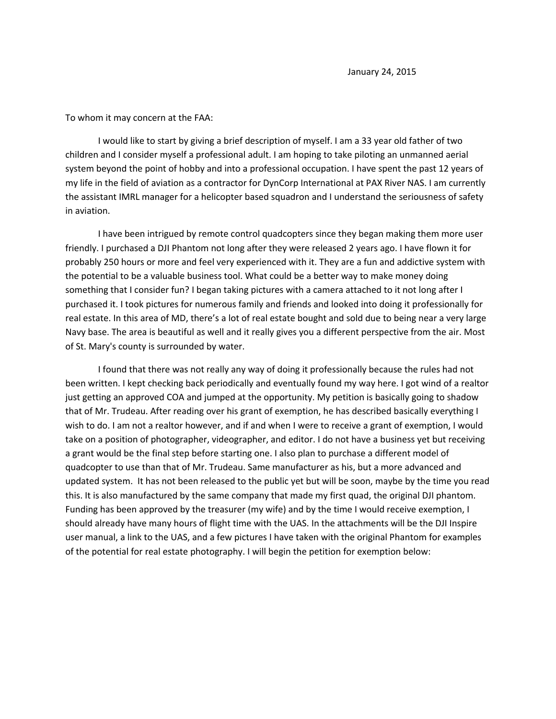To whom it may concern at the FAA:

I would like to start by giving a brief description of myself. I am a 33 year old father of two children and I consider myself a professional adult. I am hoping to take piloting an unmanned aerial system beyond the point of hobby and into a professional occupation. I have spent the past 12 years of my life in the field of aviation as a contractor for DynCorp International at PAX River NAS. I am currently the assistant IMRL manager for a helicopter based squadron and I understand the seriousness of safety in aviation.

I have been intrigued by remote control quadcopters since they began making them more user friendly. I purchased a DJI Phantom not long after they were released 2 years ago. I have flown it for probably 250 hours or more and feel very experienced with it. They are a fun and addictive system with the potential to be a valuable business tool. What could be a better way to make money doing something that I consider fun? I began taking pictures with a camera attached to it not long after I purchased it. I took pictures for numerous family and friends and looked into doing it professionally for real estate. In this area of MD, there's a lot of real estate bought and sold due to being near a very large Navy base. The area is beautiful as well and it really gives you a different perspective from the air. Most of St. Mary's county is surrounded by water.

I found that there was not really any way of doing it professionally because the rules had not been written. I kept checking back periodically and eventually found my way here. I got wind of a realtor just getting an approved COA and jumped at the opportunity. My petition is basically going to shadow that of Mr. Trudeau. After reading over his grant of exemption, he has described basically everything I wish to do. I am not a realtor however, and if and when I were to receive a grant of exemption, I would take on a position of photographer, videographer, and editor. I do not have a business yet but receiving a grant would be the final step before starting one. I also plan to purchase a different model of quadcopter to use than that of Mr. Trudeau. Same manufacturer as his, but a more advanced and updated system. It has not been released to the public yet but will be soon, maybe by the time you read this. It is also manufactured by the same company that made my first quad, the original DJI phantom. Funding has been approved by the treasurer (my wife) and by the time I would receive exemption, I should already have many hours of flight time with the UAS. In the attachments will be the DJI Inspire user manual, a link to the UAS, and a few pictures I have taken with the original Phantom for examples of the potential for real estate photography. I will begin the petition for exemption below: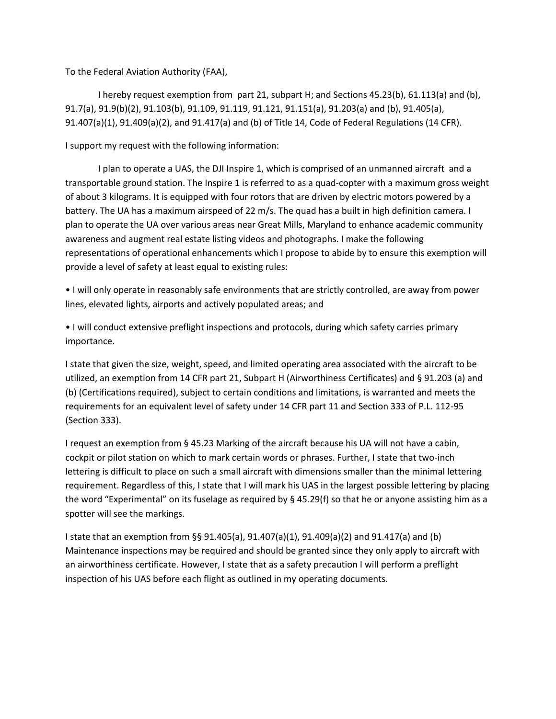To the Federal Aviation Authority (FAA),

I hereby request exemption from part 21, subpart H; and Sections 45.23(b), 61.113(a) and (b), 91.7(a), 91.9(b)(2), 91.103(b), 91.109, 91.119, 91.121, 91.151(a), 91.203(a) and (b), 91.405(a), 91.407(a)(1), 91.409(a)(2), and 91.417(a) and (b) of Title 14, Code of Federal Regulations (14 CFR).

I support my request with the following information:

I plan to operate a UAS, the DJI Inspire 1, which is comprised of an unmanned aircraft and a transportable ground station. The Inspire 1 is referred to as a quad-copter with a maximum gross weight of about 3 kilograms. It is equipped with four rotors that are driven by electric motors powered by a battery. The UA has a maximum airspeed of 22 m/s. The quad has a built in high definition camera. I plan to operate the UA over various areas near Great Mills, Maryland to enhance academic community awareness and augment real estate listing videos and photographs. I make the following representations of operational enhancements which I propose to abide by to ensure this exemption will provide a level of safety at least equal to existing rules:

• I will only operate in reasonably safe environments that are strictly controlled, are away from power lines, elevated lights, airports and actively populated areas; and

• I will conduct extensive preflight inspections and protocols, during which safety carries primary importance.

I state that given the size, weight, speed, and limited operating area associated with the aircraft to be utilized, an exemption from 14 CFR part 21, Subpart H (Airworthiness Certificates) and § 91.203 (a) and (b) (Certifications required), subject to certain conditions and limitations, is warranted and meets the requirements for an equivalent level of safety under 14 CFR part 11 and Section 333 of P.L. 112-95 (Section 333).

I request an exemption from § 45.23 Marking of the aircraft because his UA will not have a cabin, cockpit or pilot station on which to mark certain words or phrases. Further, I state that two-inch lettering is difficult to place on such a small aircraft with dimensions smaller than the minimal lettering requirement. Regardless of this, I state that I will mark his UAS in the largest possible lettering by placing the word "Experimental" on its fuselage as required by § 45.29(f) so that he or anyone assisting him as a spotter will see the markings.

I state that an exemption from §§ 91.405(a), 91.407(a)(1), 91.409(a)(2) and 91.417(a) and (b) Maintenance inspections may be required and should be granted since they only apply to aircraft with an airworthiness certificate. However, I state that as a safety precaution I will perform a preflight inspection of his UAS before each flight as outlined in my operating documents.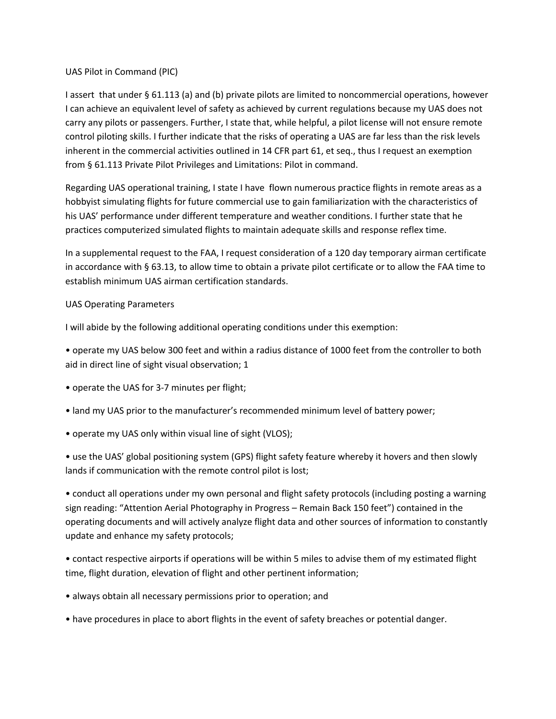## UAS Pilot in Command (PIC)

I assert that under § 61.113 (a) and (b) private pilots are limited to noncommercial operations, however I can achieve an equivalent level of safety as achieved by current regulations because my UAS does not carry any pilots or passengers. Further, I state that, while helpful, a pilot license will not ensure remote control piloting skills. I further indicate that the risks of operating a UAS are far less than the risk levels inherent in the commercial activities outlined in 14 CFR part 61, et seq., thus I request an exemption from § 61.113 Private Pilot Privileges and Limitations: Pilot in command.

Regarding UAS operational training, I state I have flown numerous practice flights in remote areas as a hobbyist simulating flights for future commercial use to gain familiarization with the characteristics of his UAS' performance under different temperature and weather conditions. I further state that he practices computerized simulated flights to maintain adequate skills and response reflex time.

In a supplemental request to the FAA, I request consideration of a 120 day temporary airman certificate in accordance with § 63.13, to allow time to obtain a private pilot certificate or to allow the FAA time to establish minimum UAS airman certification standards.

## UAS Operating Parameters

I will abide by the following additional operating conditions under this exemption:

• operate my UAS below 300 feet and within a radius distance of 1000 feet from the controller to both aid in direct line of sight visual observation; 1

- operate the UAS for 3-7 minutes per flight;
- land my UAS prior to the manufacturer's recommended minimum level of battery power;
- operate my UAS only within visual line of sight (VLOS);

• use the UAS' global positioning system (GPS) flight safety feature whereby it hovers and then slowly lands if communication with the remote control pilot is lost;

• conduct all operations under my own personal and flight safety protocols (including posting a warning sign reading: "Attention Aerial Photography in Progress – Remain Back 150 feet") contained in the operating documents and will actively analyze flight data and other sources of information to constantly update and enhance my safety protocols;

• contact respective airports if operations will be within 5 miles to advise them of my estimated flight time, flight duration, elevation of flight and other pertinent information;

- always obtain all necessary permissions prior to operation; and
- have procedures in place to abort flights in the event of safety breaches or potential danger.